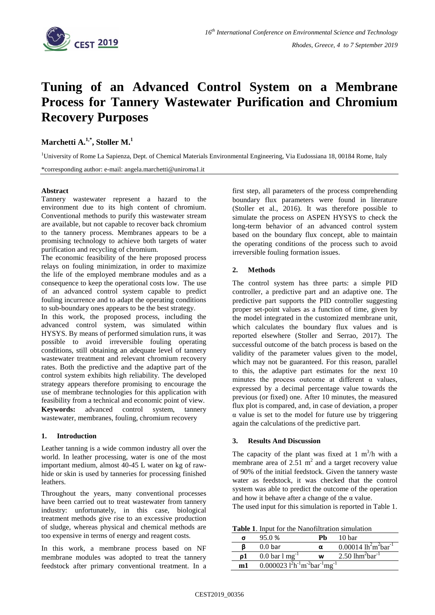

# **Tuning of an Advanced Control System on a Membrane Process for Tannery Wastewater Purification and Chromium Recovery Purposes**

 $\mathbf{M}$ archetti A. $^{1,*}$ , Stoller  $\mathbf{M}^{1}$ 

<sup>1</sup>University of Rome La Sapienza, Dept. of Chemical Materials Environmental Engineering, Via Eudossiana 18, 00184 Rome, Italy

\*corresponding author: e-mail: angela.marchetti@uniroma1.it

#### **Abstract**

Tannery wastewater represent a hazard to the environment due to its high content of chromium. Conventional methods to purify this wastewater stream are available, but not capable to recover back chromium to the tannery process. Membranes appears to be a promising technology to achieve both targets of water purification and recycling of chromium.

The economic feasibility of the here proposed process relays on fouling minimization, in order to maximize the life of the employed membrane modules and as a consequence to keep the operational costs low. The use of an advanced control system capable to predict fouling incurrence and to adapt the operating conditions to sub-boundary ones appears to be the best strategy.

In this work, the proposed process, including the advanced control system, was simulated within HYSYS. By means of performed simulation runs, it was possible to avoid irreversible fouling operating conditions, still obtaining an adequate level of tannery wastewater treatment and relevant chromium recovery rates. Both the predictive and the adaptive part of the control system exhibits high reliability. The developed strategy appears therefore promising to encourage the use of membrane technologies for this application with feasibility from a technical and economic point of view. **Keywords:** advanced control system, tannery wastewater, membranes, fouling, chromium recovery

## **1. Introduction**

Leather tanning is a wide common industry all over the world. In leather processing, water is one of the most important medium, almost 40-45 L water on kg of rawhide or skin is used by tanneries for processing finished leathers.

Throughout the years, many conventional processes have been carried out to treat wastewater from tannery industry: unfortunately, in this case, biological treatment methods give rise to an excessive production of sludge, whereas physical and chemical methods are too expensive in terms of energy and reagent costs.

In this work, a membrane process based on NF membrane modules was adopted to treat the tannery feedstock after primary conventional treatment. In a first step, all parameters of the process comprehending boundary flux parameters were found in literature (Stoller et al., 2016). It was therefore possible to simulate the process on ASPEN HYSYS to check the long-term behavior of an advanced control system based on the boundary flux concept, able to maintain the operating conditions of the process such to avoid irreversible fouling formation issues.

## **2. Methods**

The control system has three parts: a simple PID controller, a predictive part and an adaptive one. The predictive part supports the PID controller suggesting proper set-point values as a function of time, given by the model integrated in the customized membrane unit, which calculates the boundary flux values and is reported elsewhere (Stoller and Serrao, 2017). The successful outcome of the batch process is based on the validity of the parameter values given to the model, which may not be guaranteed. For this reason, parallel to this, the adaptive part estimates for the next 10 minutes the process outcome at different  $\alpha$  values, expressed by a decimal percentage value towards the previous (or fixed) one. After 10 minutes, the measured flux plot is compared, and, in case of deviation, a proper α value is set to the model for future use by triggering again the calculations of the predictive part.

## **3. Results And Discussion**

The capacity of the plant was fixed at  $1 \text{ m}^3/\text{h}$  with a membrane area of  $2.51 \text{ m}^2$  and a target recovery value of 90% of the initial feedstock. Given the tannery waste water as feedstock, it was checked that the control system was able to predict the outcome of the operation and how it behave after a change of the  $\alpha$  value.

The used input for this simulation is reported in Table 1.

**Table 1**. Input for the Nanofiltration simulation

| σ   | 95.0 %                                    |   | 10 bar                                     |
|-----|-------------------------------------------|---|--------------------------------------------|
|     | 0.0 <sub>bar</sub>                        | α | 0.00014 $lh^2m^2bar^{-1}$                  |
|     | $0.0 \,\mathrm{bar}\,1\,\mathrm{mg}^{-1}$ | w | 2.50 $1$ hm <sup>2</sup> bar <sup>-1</sup> |
| m 1 | 0.000023 $1^2h^{-1}m^{-2}bar^{-1}mg^{-1}$ |   |                                            |